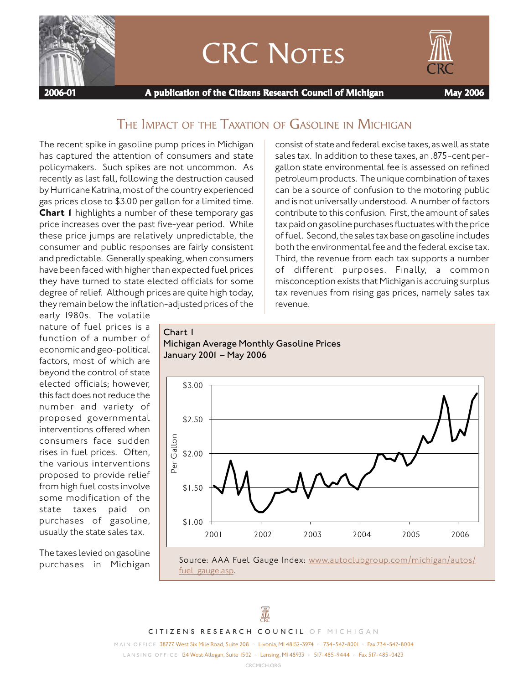

# CRC NOTES



 **2006-01 A publication of the Citizens Research Council of Michigan May 2006**

## THE IMPACT OF THE TAXATION OF GASOLINE IN MICHIGAN

*Michigan Average Monthly Gasoline Prices*

The recent spike in gasoline pump prices in Michigan has captured the attention of consumers and state policymakers. Such spikes are not uncommon. As recently as last fall, following the destruction caused by Hurricane Katrina, most of the country experienced gas prices close to \$3.00 per gallon for a limited time. **Chart 1** highlights a number of these temporary gas price increases over the past five-year period. While these price jumps are relatively unpredictable, the consumer and public responses are fairly consistent and predictable. Generally speaking, when consumers have been faced with higher than expected fuel prices they have turned to state elected officials for some degree of relief. Although prices are quite high today, they remain below the inflation-adjusted prices of the

*Chart 1*

consist of state and federal excise taxes, as well as state sales tax. In addition to these taxes, an .875-cent pergallon state environmental fee is assessed on refined petroleum products. The unique combination of taxes can be a source of confusion to the motoring public and is not universally understood. A number of factors contribute to this confusion. First, the amount of sales tax paid on gasoline purchases fluctuates with the price of fuel. Second, the sales tax base on gasoline includes both the environmental fee and the federal excise tax. Third, the revenue from each tax supports a number of different purposes. Finally, a common misconception exists that Michigan is accruing surplus tax revenues from rising gas prices, namely sales tax revenue.

early 1980s. The volatile nature of fuel prices is a function of a number of economic and geo-political factors, most of which are beyond the control of state elected officials; however, this fact does not reduce the number and variety of proposed governmental interventions offered when consumers face sudden rises in fuel prices. Often, the various interventions proposed to provide relief from high fuel costs involve some modification of the state taxes paid on purchases of gasoline, usually the state sales tax.

The taxes levied on gasoline purchases in Michigan



fuel gauge.asp.



*CITIZENS RESEARCH COUNCIL OF MICHIGAN*

*MAIN OFFICE* 38777 West Six Mile Road, Suite 208 n Livonia, MI 48152-3974 n 734-542-8001 n Fax 734-542-8004 *LANSING OFFICE* 124 West Allegan, Suite 1502 n Lansing, MI 48933 n 517-485-9444 n Fax 517-485-0423

*CRCMICH.ORG*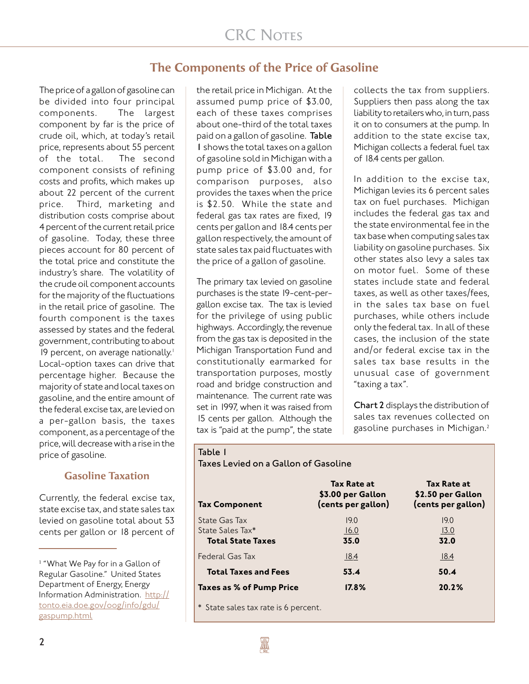## **The Components of the Price of Gasoline**

The price of a gallon of gasoline can be divided into four principal components. The largest component by far is the price of crude oil, which, at today's retail price, represents about 55 percent of the total. The second component consists of refining costs and profits, which makes up about 22 percent of the current price. Third, marketing and distribution costs comprise about 4 percent of the current retail price of gasoline. Today, these three pieces account for 80 percent of the total price and constitute the industry's share. The volatility of the crude oil component accounts for the majority of the fluctuations in the retail price of gasoline. The fourth component is the taxes assessed by states and the federal government, contributing to about 19 percent, on average nationally.<sup>1</sup> Local-option taxes can drive that percentage higher. Because the majority of state and local taxes on gasoline, and the entire amount of the federal excise tax, are levied on a per-gallon basis, the taxes component, as a percentage of the price, will decrease with a rise in the price of gasoline.

### **Gasoline Taxation**

Currently, the federal excise tax, state excise tax, and state sales tax levied on gasoline total about 53 cents per gallon or 18 percent of

the retail price in Michigan. At the assumed pump price of \$3.00, each of these taxes comprises about one-third of the total taxes paid on a gallon of gasoline. *Table 1* shows the total taxes on a gallon of gasoline sold in Michigan with a pump price of \$3.00 and, for comparison purposes, also provides the taxes when the price is \$2.50. While the state and federal gas tax rates are fixed, 19 cents per gallon and 18.4 cents per gallon respectively, the amount of state sales tax paid fluctuates with the price of a gallon of gasoline.

The primary tax levied on gasoline purchases is the state 19-cent-pergallon excise tax. The tax is levied for the privilege of using public highways. Accordingly, the revenue from the gas tax is deposited in the Michigan Transportation Fund and constitutionally earmarked for transportation purposes, mostly road and bridge construction and maintenance. The current rate was set in 1997, when it was raised from 15 cents per gallon. Although the tax is "paid at the pump", the state

collects the tax from suppliers. Suppliers then pass along the tax liability to retailers who, in turn, pass it on to consumers at the pump. In addition to the state excise tax, Michigan collects a federal fuel tax of 18.4 cents per gallon.

In addition to the excise tax, Michigan levies its 6 percent sales tax on fuel purchases. Michigan includes the federal gas tax and the state environmental fee in the tax base when computing sales tax liability on gasoline purchases. Six other states also levy a sales tax on motor fuel. Some of these states include state and federal taxes, as well as other taxes/fees, in the sales tax base on fuel purchases, while others include only the federal tax. In all of these cases, the inclusion of the state and/or federal excise tax in the sales tax base results in the unusual case of government "taxing a tax".

*Chart 2* displays the distribution of sales tax revenues collected on gasoline purchases in Michigan.<sup>2</sup>

#### *Table 1*

*Taxes Levied on a Gallon of Gasoline*

| <b>Tax Component</b>                 | Tax Rate at<br>\$3.00 per Gallon<br>(cents per gallon) | <b>Tax Rate at</b><br>\$2.50 per Gallon<br>(cents per gallon) |
|--------------------------------------|--------------------------------------------------------|---------------------------------------------------------------|
| State Gas Tax<br>State Sales Tax*    | 19.0<br>16.0                                           | 19.0<br>13.0                                                  |
| <b>Total State Taxes</b>             | 35.0                                                   | 32.0                                                          |
| Federal Gas Tax                      | 18.4                                                   | <u> 18.4</u>                                                  |
| <b>Total Taxes and Fees</b>          | 53.4                                                   | 50.4                                                          |
| Taxes as % of Pump Price             | $17.8\%$                                               | 20.2%                                                         |
| * State sales tax rate is 6 percent. |                                                        |                                                               |

<sup>&</sup>lt;sup>1</sup> "What We Pay for in a Gallon of Regular Gasoline." United States Department of Energy, Energy Information Administration. http:// tonto.eia.doe.gov/oog/info/gdu/ gaspump.html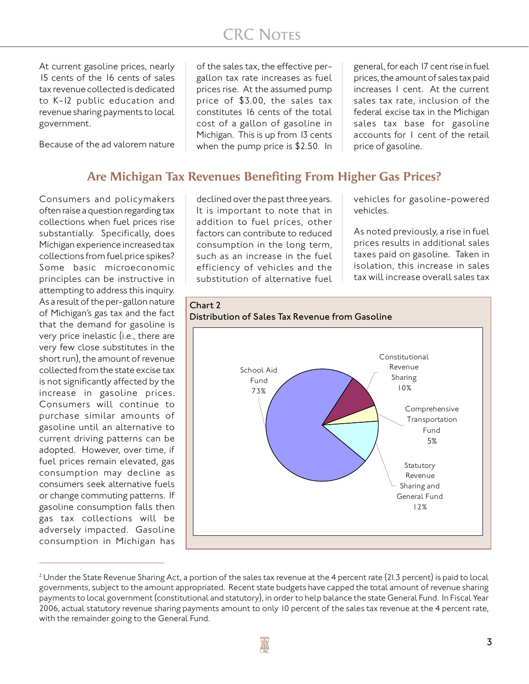## **CRC NOTES**

At current gasoline prices, nearly 15 cents of the 16 cents of sales tax revenue collected is dedicated to K-12 public education and revenue sharing payments to local government.

Because of the ad valorem nature

of the sales tax, the effective pergallon tax rate increases as fuel prices rise. At the assumed pump price of \$3.00, the sales tax constitutes 16 cents of the total cost of a gallon of gasoline in Michigan. This is up from 13 cents when the pump price is \$2.50. In

general, for each 17 cent rise in fuel prices, the amount of sales tax paid increases 1 cent. At the current sales tax rate, inclusion of the federal excise tax in the Michigan sales tax base for gasoline accounts for 1 cent of the retail price of gasoline.

### **Are Michigan Tax Revenues Benefiting From Higher Gas Prices?**

Consumers and policymakers often raise a question regarding tax collections when fuel prices rise substantially. Specifically, does Michigan experience increased tax collections from fuel price spikes? Some basic microeconomic principles can be instructive in attempting to address this inquiry. As a result of the per-gallon nature of Michigan's gas tax and the fact that the demand for gasoline is very price inelastic (i.e., there are very few close substitutes in the short run), the amount of revenue collected from the state excise tax is not significantly affected by the increase in gasoline prices. Consumers will continue to purchase similar amounts of gasoline until an alternative to current driving patterns can be adopted. However, over time, if fuel prices remain elevated, gas consumption may decline as consumers seek alternative fuels or change commuting patterns. If gasoline consumption falls then gas tax collections will be adversely impacted. Gasoline consumption in Michigan has

declined over the past three years. It is important to note that in addition to fuel prices, other factors can contribute to reduced consumption in the long term, such as an increase in the fuel efficiency of vehicles and the substitution of alternative fuel

vehicles for gasoline-powered vehicles.

As noted previously, a rise in fuel prices results in additional sales taxes paid on gasoline. Taken in isolation, this increase in sales tax will increase overall sales tax



 $^2$  Under the State Revenue Sharing Act, a portion of the sales tax revenue at the 4 percent rate (21.3 percent) is paid to local governments, subject to the amount appropriated. Recent state budgets have capped the total amount of revenue sharing payments to local government (constitutional and statutory), in order to help balance the state General Fund. In Fiscal Year 2006, actual statutory revenue sharing payments amount to only 10 percent of the sales tax revenue at the 4 percent rate, with the remainder going to the General Fund.